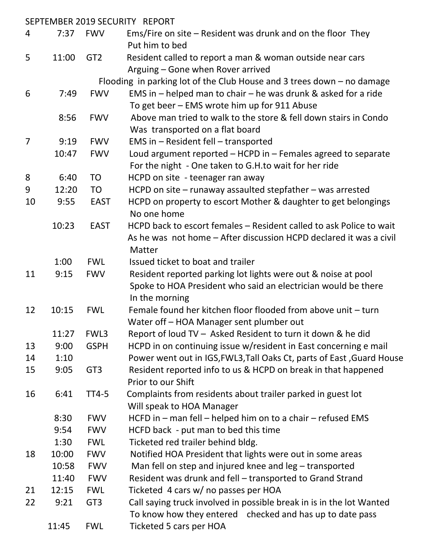|                |       |                 | SEPTEMBER 2019 SECURITY REPORT                                                           |
|----------------|-------|-----------------|------------------------------------------------------------------------------------------|
| 4              | 7:37  | <b>FWV</b>      | Ems/Fire on site $-$ Resident was drunk and on the floor They<br>Put him to bed          |
| 5              | 11:00 | GT <sub>2</sub> | Resident called to report a man & woman outside near cars                                |
|                |       |                 | Arguing – Gone when Rover arrived                                                        |
|                |       |                 | Flooding in parking lot of the Club House and 3 trees down $-$ no damage                 |
| 6              | 7:49  | <b>FWV</b>      | EMS in $-$ helped man to chair $-$ he was drunk & asked for a ride                       |
|                |       |                 | To get beer – EMS wrote him up for 911 Abuse                                             |
|                | 8:56  | <b>FWV</b>      | Above man tried to walk to the store & fell down stairs in Condo                         |
|                |       |                 | Was transported on a flat board                                                          |
| $\overline{7}$ | 9:19  | <b>FWV</b>      | EMS in - Resident fell - transported                                                     |
|                | 10:47 | <b>FWV</b>      | Loud argument reported $-$ HCPD in $-$ Females agreed to separate                        |
|                |       |                 | For the night - One taken to G.H.to wait for her ride                                    |
| 8              | 6:40  | <b>TO</b>       | HCPD on site - teenager ran away                                                         |
| 9              | 12:20 | <b>TO</b>       | HCPD on site $-$ runaway assaulted stepfather $-$ was arrested                           |
| 10             | 9:55  | <b>EAST</b>     | HCPD on property to escort Mother & daughter to get belongings                           |
|                |       |                 | No one home                                                                              |
|                | 10:23 | <b>EAST</b>     | HCPD back to escort females - Resident called to ask Police to wait                      |
|                |       |                 | As he was not home – After discussion HCPD declared it was a civil                       |
|                |       |                 | Matter                                                                                   |
|                | 1:00  | <b>FWL</b>      | Issued ticket to boat and trailer                                                        |
| 11             | 9:15  | <b>FWV</b>      | Resident reported parking lot lights were out & noise at pool                            |
|                |       |                 | Spoke to HOA President who said an electrician would be there                            |
|                |       |                 | In the morning                                                                           |
| 12             | 10:15 | <b>FWL</b>      | Female found her kitchen floor flooded from above unit - turn                            |
|                |       |                 | Water off - HOA Manager sent plumber out                                                 |
|                | 11:27 | FWL3            | Report of loud TV - Asked Resident to turn it down & he did                              |
| 13             | 9:00  | <b>GSPH</b>     | HCPD in on continuing issue w/resident in East concerning e mail                         |
| 14             | 1:10  |                 | Power went out in IGS, FWL3, Tall Oaks Ct, parts of East, Guard House                    |
| 15             | 9:05  | GT <sub>3</sub> | Resident reported info to us & HCPD on break in that happened                            |
|                |       |                 | Prior to our Shift                                                                       |
| 16             | 6:41  | <b>TT4-5</b>    | Complaints from residents about trailer parked in guest lot<br>Will speak to HOA Manager |
|                | 8:30  | <b>FWV</b>      | HCFD in – man fell – helped him on to a chair – refused EMS                              |
|                | 9:54  | <b>FWV</b>      | HCFD back - put man to bed this time                                                     |
|                | 1:30  | <b>FWL</b>      | Ticketed red trailer behind bldg.                                                        |
| 18             | 10:00 | <b>FWV</b>      | Notified HOA President that lights were out in some areas                                |
|                | 10:58 | <b>FWV</b>      | Man fell on step and injured knee and leg - transported                                  |
|                | 11:40 | <b>FWV</b>      | Resident was drunk and fell – transported to Grand Strand                                |
| 21             | 12:15 | <b>FWL</b>      | Ticketed 4 cars w/ no passes per HOA                                                     |
| 22             | 9:21  | GT <sub>3</sub> | Call saying truck involved in possible break in is in the lot Wanted                     |
|                |       |                 | To know how they entered checked and has up to date pass                                 |
|                | 11:45 | <b>FWL</b>      | Ticketed 5 cars per HOA                                                                  |